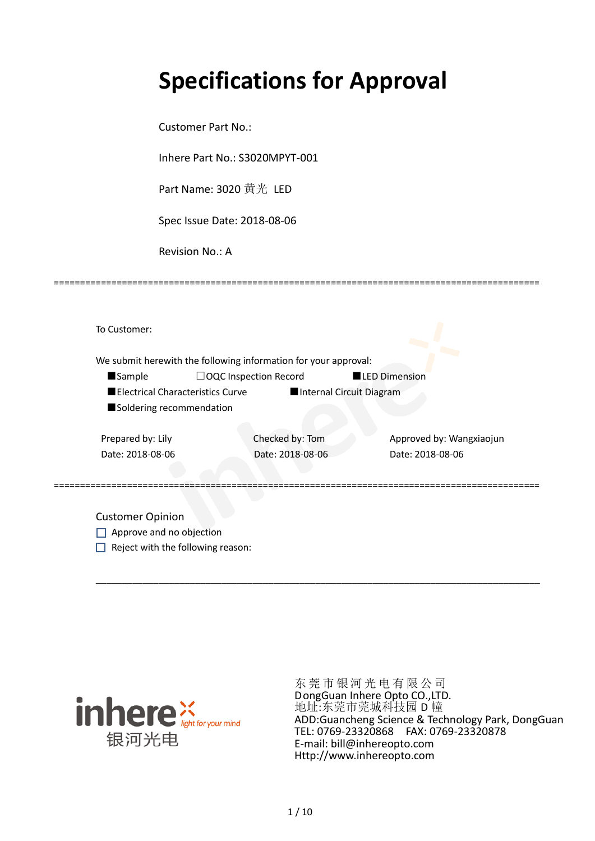# **Specifications for Approval**

Customer Part No.:

Inhere Part No.: S3020MPYT-001

Part Name: 3020 黄光 LED

Spec Issue Date: 2018-08-06

Revision No.: A

|                          |                                         | We submit herewith the following information for your approval: |                      |                          |
|--------------------------|-----------------------------------------|-----------------------------------------------------------------|----------------------|--------------------------|
| <b>Sample</b>            | $\Box$ OQC Inspection Record            |                                                                 | <b>LED Dimension</b> |                          |
|                          | <b>Electrical Characteristics Curve</b> | Internal Circuit Diagram                                        |                      |                          |
| Soldering recommendation |                                         |                                                                 |                      |                          |
| Prepared by: Lily        |                                         | Checked by: Tom                                                 |                      | Approved by: Wangxiaojun |
| Date: 2018-08-06         |                                         | Date: 2018-08-06                                                |                      | Date: 2018-08-06         |
|                          |                                         |                                                                 |                      |                          |

\_\_\_\_\_\_\_\_\_\_\_\_\_\_\_\_\_\_\_\_\_\_\_\_\_\_\_\_\_\_\_\_\_\_\_\_\_\_\_\_\_\_\_\_\_\_\_\_\_\_\_\_\_\_\_\_\_\_\_\_\_\_\_\_\_\_\_\_\_\_\_\_\_\_\_\_\_\_\_\_\_\_\_\_\_

=============================================================================================

Approve and no objection  $\Box$  Reject with the following reason:



东莞市银河光电有限公司 DongGuan Inhere Opto CO.,LTD. 地址:东莞市莞城科技园 D 幢 ADD:Guancheng Science & Technology Park, DongGuan TEL: 0769-23320868 FAX: 0769-23320878 E-mail: bill@inhereopto.com [Http://www.inhereopto.com](http://www.inhereopto.com/)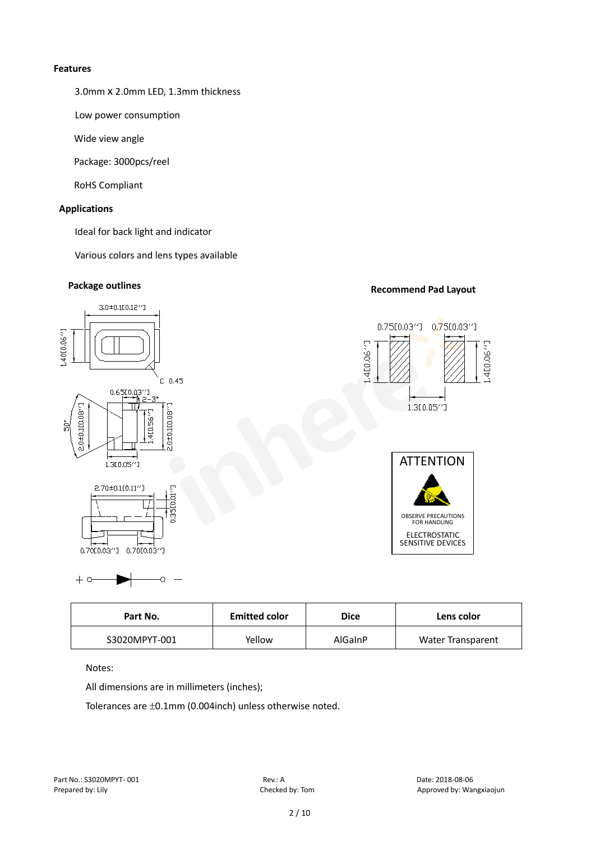#### **Features**

3.0mmⅹ2.0mm LED, 1.3mm thickness

Low power consumption

Wide view angle

Package: 3000pcs/reel

RoHS Compliant

### **Applications**

Ideal for back light and indicator

Various colors and lens types available

# **Package outlines Recommend Pad Layout**



| Part No.      | <b>Emitted color</b> | <b>Dice</b> | Lens color               |
|---------------|----------------------|-------------|--------------------------|
| S3020MPYT-001 | Yellow               | AlGaInP     | <b>Water Transparent</b> |

Notes:

 $+ c$ 

All dimensions are in millimeters (inches);

Ō

Tolerances are ±0.1mm (0.004inch) unless otherwise noted.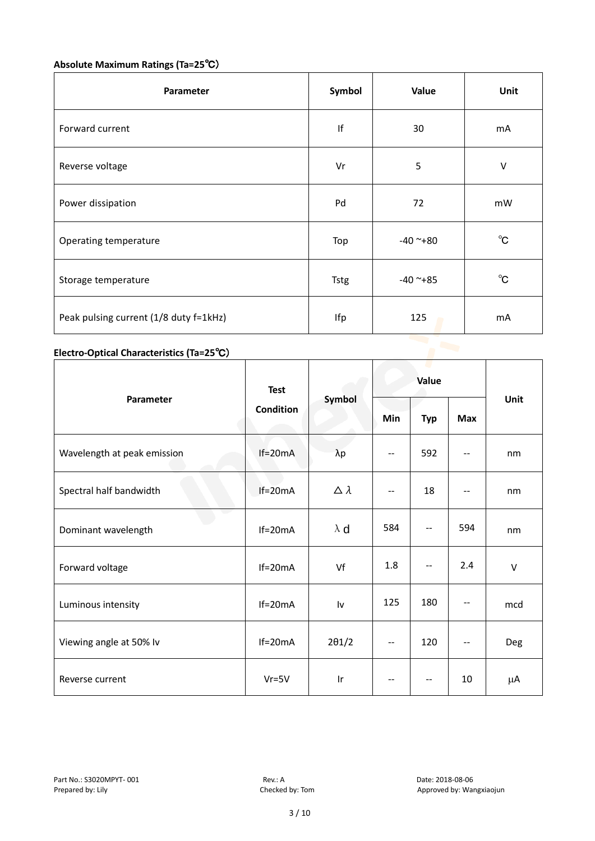# **Absolute Maximum Ratings (Ta=25**℃)

| Parameter                              | Symbol      | Value      | Unit         |
|----------------------------------------|-------------|------------|--------------|
| Forward current                        | f           | 30         | mA           |
| Reverse voltage                        | Vr          | 5          | V            |
| Power dissipation                      | Pd          | 72         | mW           |
| Operating temperature                  | Top         | $-40$ ~+80 | $^{\circ}$ C |
| Storage temperature                    | <b>Tstg</b> | $-40$ ~+85 | $^{\circ}$ C |
| Peak pulsing current (1/8 duty f=1kHz) | Ifp         | 125        | mA           |

# **Electro-Optical Characteristics (Ta=25**℃)

|                             | <b>Test</b>      |                  | Value |            |            |        |
|-----------------------------|------------------|------------------|-------|------------|------------|--------|
| Parameter                   | <b>Condition</b> | Symbol           | Min   | <b>Typ</b> | <b>Max</b> | Unit   |
| Wavelength at peak emission | $If=20mA$        | $\lambda p$      | --    | 592        |            | nm     |
| Spectral half bandwidth     | $If=20mA$        | $\Delta \lambda$ | --    | 18         | --         | nm     |
| Dominant wavelength         | $If=20mA$        | $\lambda$ d      | 584   | --         | 594        | nm     |
| Forward voltage             | $If=20mA$        | Vf               | 1.8   | --         | 2.4        | $\vee$ |
| Luminous intensity          | $If=20mA$        | Iv               | 125   | 180        |            | mcd    |
| Viewing angle at 50% lv     | $If=20mA$        | $2\theta$ 1/2    | $-$   | 120        | $-$        | Deg    |
| Reverse current             | $Vr = 5V$        | Ir               | --    | --         | 10         | μA     |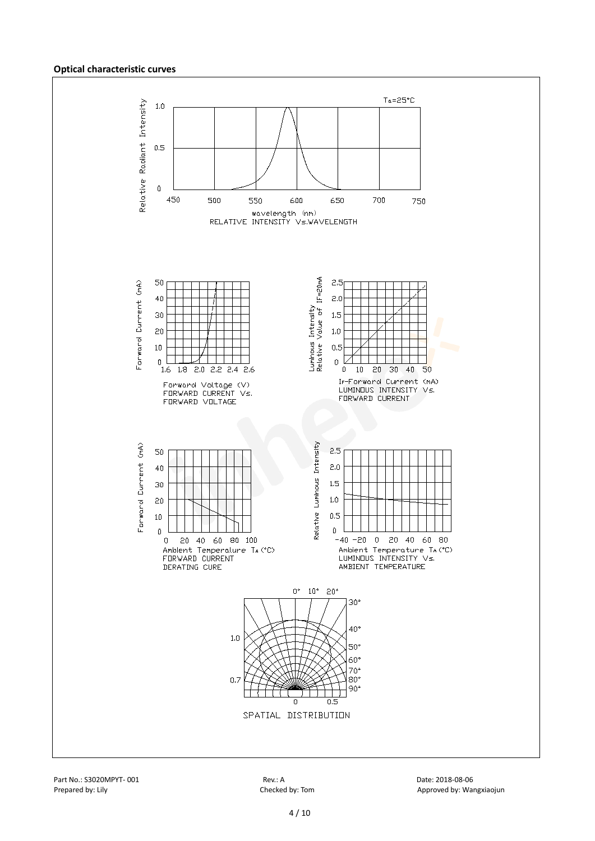#### **Optical characteristic curves**

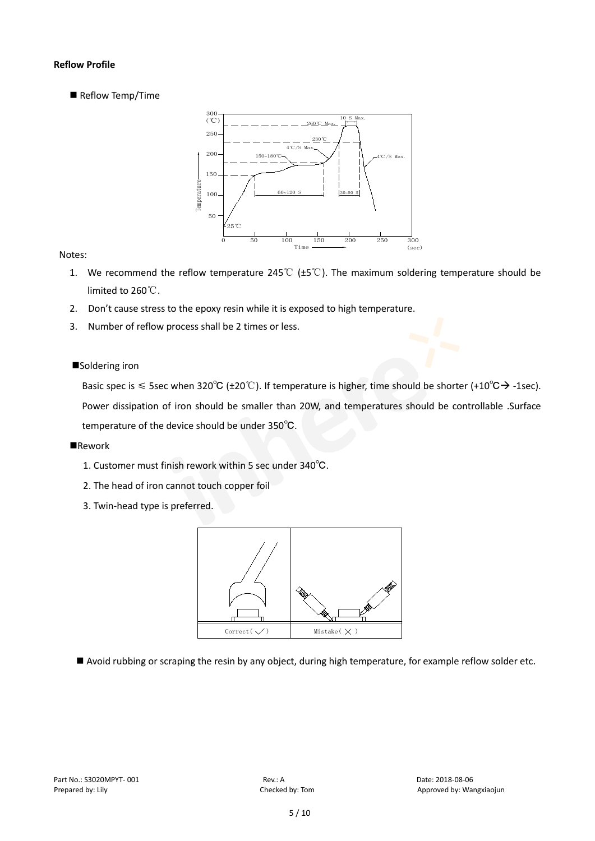#### **Reflow Profile**

Reflow Temp/Time



#### Notes:

- 1. We recommend the reflow temperature 245℃ (±5℃). The maximum soldering temperature should be limited to 260℃.
- 2. Don't cause stress to the epoxy resin while it is exposed to high temperature.
- 3. Number of reflow process shall be 2 times or less.

#### ■Soldering iron

Basic spec is  $\leq$  5sec when 320°C (±20°C). If temperature is higher, time should be shorter (+10°C $\rightarrow$ -1sec). Power dissipation of iron should be smaller than 20W, and temperatures should be controllable .Surface temperature of the device should be under 350℃.

#### **Rework**

- 1. Customer must finish rework within 5 sec under 340℃.
- 2. The head of iron cannot touch copper foil
- 3. Twin-head type is preferred.



Avoid rubbing or scraping the resin by any object, during high temperature, for example reflow solder etc.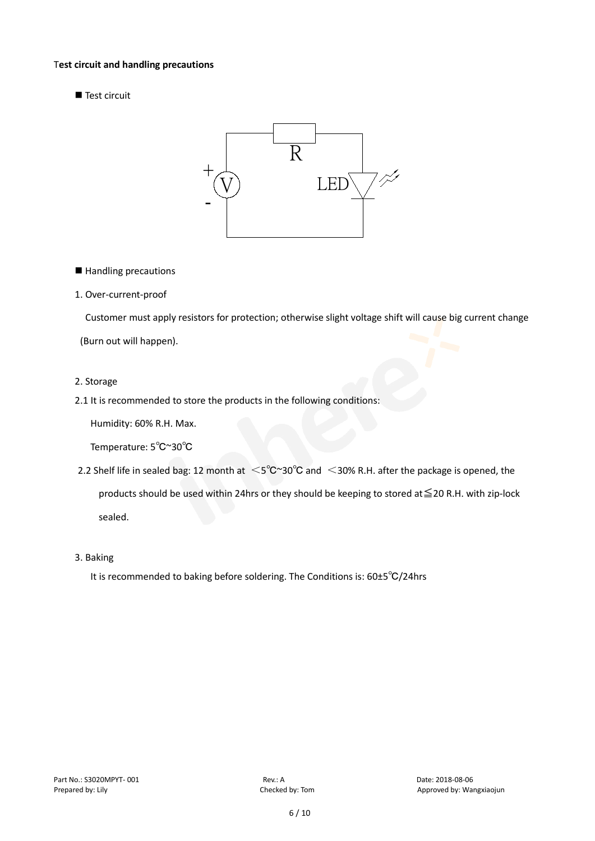#### T**est circuit and handling precautions**

Test circuit



■ Handling precautions

#### 1. Over-current-proof

Customer must apply resistors for protection; otherwise slight voltage shift will cause big current change

(Burn out will happen).

#### 2. Storage

2.1 It is recommended to store the products in the following conditions:

Humidity: 60% R.H. Max.

Temperature: 5℃~30℃

- 2.2 Shelf life in sealed bag: 12 month at <5℃~30°C and <30% R.H. after the package is opened, the products should be used within 24hrs or they should be keeping to stored at≦20 R.H. with zip-lock sealed.
- 3. Baking

It is recommended to baking before soldering. The Conditions is: 60±5℃/24hrs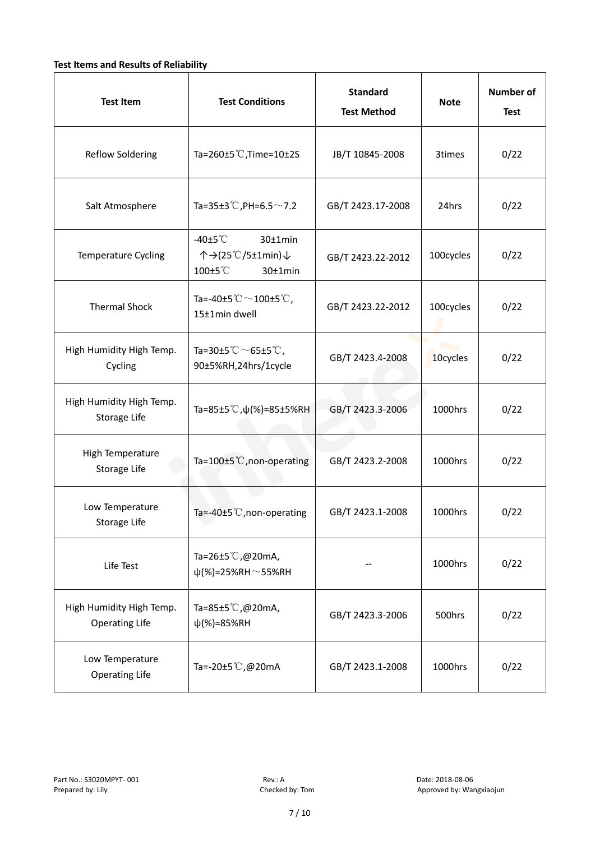#### **Test Items and Results of Reliability**

| <b>Test Item</b>                                  | <b>Standard</b><br><b>Test Conditions</b><br><b>Test Method</b>                                     |                   | <b>Note</b> | <b>Number of</b><br><b>Test</b> |
|---------------------------------------------------|-----------------------------------------------------------------------------------------------------|-------------------|-------------|---------------------------------|
| <b>Reflow Soldering</b>                           | Ta=260 $\pm$ 5 °C, Time=10 $\pm$ 2S                                                                 | JB/T 10845-2008   | 3times      | 0/22                            |
| Salt Atmosphere                                   | Ta=35±3°C, PH=6.5 $\sim$ 7.2                                                                        | GB/T 2423.17-2008 | 24hrs       | 0/22                            |
| Temperature Cycling                               | -40 $±5^{\circ}$ C<br>$30±1$ min<br>个→(25℃/5±1min)↓<br>100±5°C<br>$30±1$ min                        | GB/T 2423.22-2012 | 100cycles   | 0/22                            |
| <b>Thermal Shock</b>                              | Ta=-40±5 $\degree \text{C}$ $\sim$ 100±5 $\degree \text{C}$ ,<br>GB/T 2423.22-2012<br>15±1min dwell |                   | 100cycles   | 0/22                            |
| High Humidity High Temp.<br>Cycling               | Ta=30±5 °C $\sim$ 65±5 °C,<br>90±5%RH,24hrs/1cycle                                                  | GB/T 2423.4-2008  | 10cycles    | 0/22                            |
| High Humidity High Temp.<br>Storage Life          | Ta=85±5 °C, $\psi$ (%)=85±5%RH                                                                      | GB/T 2423.3-2006  | 1000hrs     | 0/22                            |
| High Temperature<br><b>Storage Life</b>           | Ta=100±5°C, non-operating                                                                           | GB/T 2423.2-2008  | 1000hrs     | 0/22                            |
| Low Temperature<br>Storage Life                   | Ta=-40±5℃, non-operating                                                                            | GB/T 2423.1-2008  | 1000hrs     | 0/22                            |
| Life Test                                         | Ta=26±5℃,@20mA,<br>$\psi$ (%)=25%RH~55%RH                                                           |                   | 1000hrs     | 0/22                            |
| High Humidity High Temp.<br><b>Operating Life</b> | Ta=85±5 $\degree$ C, @20mA,<br>$\psi$ (%)=85%RH                                                     | GB/T 2423.3-2006  | 500hrs      | 0/22                            |
| Low Temperature<br><b>Operating Life</b>          | Ta=-20±5℃,@20mA                                                                                     | GB/T 2423.1-2008  | 1000hrs     | 0/22                            |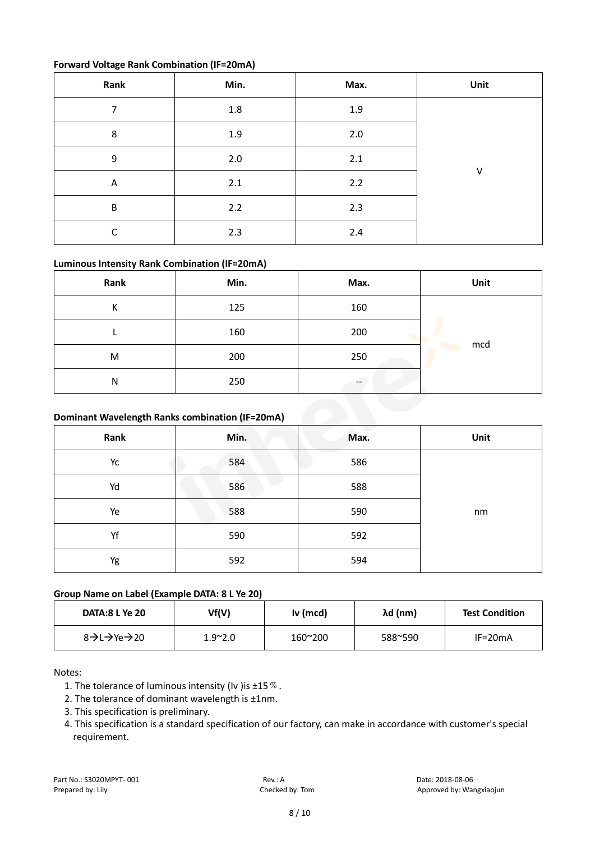#### **Forward Voltage Rank Combination (IF=20mA)**

| Rank                    | Min.    | Max. | Unit |
|-------------------------|---------|------|------|
| 7                       | $1.8\,$ | 1.9  |      |
| 8                       | 1.9     | 2.0  |      |
| 9                       | $2.0\,$ | 2.1  | V    |
| $\overline{\mathsf{A}}$ | 2.1     | 2.2  |      |
| B                       | 2.2     | 2.3  |      |
| r                       | 2.3     | 2.4  |      |

#### **Luminous Intensity Rank Combination (IF=20mA)**

| Rank | Min. | Max.                     | Unit |
|------|------|--------------------------|------|
| К    | 125  | 160                      |      |
|      | 160  | 200                      |      |
| M    | 200  | 250                      | mcd  |
| N    | 250  | $\overline{\phantom{m}}$ |      |

#### **Dominant Wavelength Ranks combination (IF=20mA)**

|      | Dominant Wavelength Ranks combination (IF=20mA) |      |      |  |  |  |
|------|-------------------------------------------------|------|------|--|--|--|
| Rank | Min.                                            | Max. | Unit |  |  |  |
| Yc   | 584                                             | 586  |      |  |  |  |
| Yd   | 586                                             | 588  |      |  |  |  |
| Ye   | 588                                             | 590  | nm   |  |  |  |
| Yf   | 590                                             | 592  |      |  |  |  |
| Yg   | 592                                             | 594  |      |  |  |  |

#### **Group Name on Label (Example DATA: 8 L Ye 20)**

| <b>DATA:8 L Ye 20</b>                           | Vf(V)           | Iv (mcd) | λd (nm) | <b>Test Condition</b> |
|-------------------------------------------------|-----------------|----------|---------|-----------------------|
| $8 \rightarrow 1 \rightarrow Ye \rightarrow 20$ | $1.9^{\sim}2.0$ | 160~200  | 588~590 | $IF=20mA$             |

#### Notes:

- 1. The tolerance of luminous intensity (Iv ) is  $\pm 15\%$ .
- 2. The tolerance of dominant wavelength is ±1nm.
- 3. This specification is preliminary.
- 4. This specification is a standard specification of our factory, can make in accordance with customer's special requirement.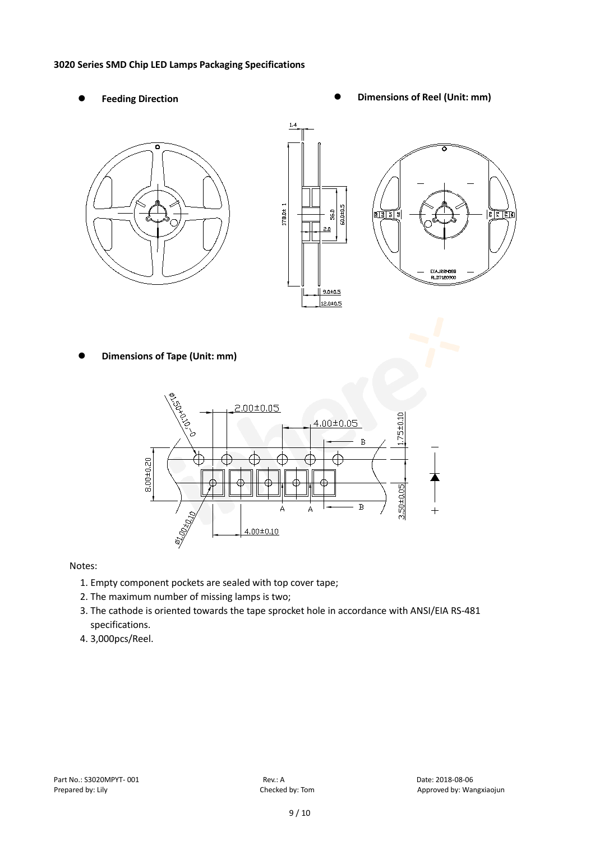#### **3020 Series SMD Chip LED Lamps Packaging Specifications**

- 
- Feeding Direction **Constanting Construction Constanting Operations Construction Constanting Construction Constanting Construction**





**Dimensions of Tape (Unit: mm)**



Notes:

- 1. Empty component pockets are sealed with top cover tape;
- 2. The maximum number of missing lamps is two;
- 3. The cathode is oriented towards the tape sprocket hole in accordance with ANSI/EIA RS-481 specifications.
- 4. 3,000pcs/Reel.